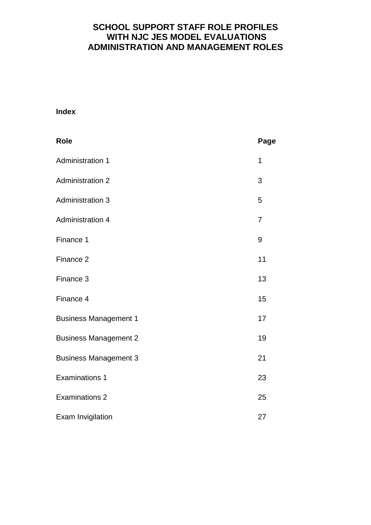# **SCHOOL SUPPORT STAFF ROLE PROFILES WITH NJC JES MODEL EVALUATIONS ADMINISTRATION AND MANAGEMENT ROLES**

# **Index**

| <b>Role</b>                  | Page           |
|------------------------------|----------------|
| <b>Administration 1</b>      | 1              |
| <b>Administration 2</b>      | 3              |
| <b>Administration 3</b>      | 5              |
| <b>Administration 4</b>      | $\overline{7}$ |
| Finance 1                    | 9              |
| Finance <sub>2</sub>         | 11             |
| Finance 3                    | 13             |
| Finance 4                    | 15             |
| <b>Business Management 1</b> | 17             |
| <b>Business Management 2</b> | 19             |
| <b>Business Management 3</b> | 21             |
| <b>Examinations 1</b>        | 23             |
| <b>Examinations 2</b>        | 25             |
| Exam Invigilation            | 27             |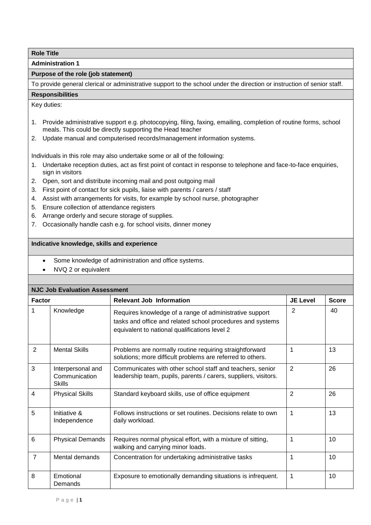**Administration 1**

## **Purpose of the role (job statement)**

To provide general clerical or administrative support to the school under the direction or instruction of senior staff.

## **Responsibilities**

Key duties:

- 1. Provide administrative support e.g. photocopying, filing, faxing, emailing, completion of routine forms, school meals. This could be directly supporting the Head teacher
- 2. Update manual and computerised records/management information systems.

Individuals in this role may also undertake some or all of the following:

- 1. Undertake reception duties, act as first point of contact in response to telephone and face-to-face enquiries, sign in visitors
- 2. Open, sort and distribute incoming mail and post outgoing mail
- 3. First point of contact for sick pupils, liaise with parents / carers / staff
- 4. Assist with arrangements for visits, for example by school nurse, photographer
- 5. Ensure collection of attendance registers
- 6. Arrange orderly and secure storage of supplies.
- 7. Occasionally handle cash e.g. for school visits, dinner money

- Some knowledge of administration and office systems.
- NVQ 2 or equivalent

| <b>NJC Job Evaluation Assessment</b> |                                                     |                                                                                                                                                                        |                 |              |  |
|--------------------------------------|-----------------------------------------------------|------------------------------------------------------------------------------------------------------------------------------------------------------------------------|-----------------|--------------|--|
| <b>Factor</b>                        |                                                     | <b>Relevant Job Information</b>                                                                                                                                        | <b>JE Level</b> | <b>Score</b> |  |
| 1                                    | Knowledge                                           | Requires knowledge of a range of administrative support<br>tasks and office and related school procedures and systems<br>equivalent to national qualifications level 2 | 2               | 40           |  |
| 2                                    | <b>Mental Skills</b>                                | Problems are normally routine requiring straightforward<br>solutions; more difficult problems are referred to others.                                                  | 1               | 13           |  |
| 3                                    | Interpersonal and<br>Communication<br><b>Skills</b> | Communicates with other school staff and teachers, senior<br>leadership team, pupils, parents / carers, suppliers, visitors.                                           | $\overline{2}$  | 26           |  |
| $\overline{4}$                       | <b>Physical Skills</b>                              | Standard keyboard skills, use of office equipment                                                                                                                      | $\overline{2}$  | 26           |  |
| 5                                    | Initiative &<br>Independence                        | Follows instructions or set routines. Decisions relate to own<br>daily workload.                                                                                       | 1               | 13           |  |
| 6                                    | <b>Physical Demands</b>                             | Requires normal physical effort, with a mixture of sitting,<br>walking and carrying minor loads.                                                                       |                 | 10           |  |
| $\overline{7}$                       | Mental demands                                      | Concentration for undertaking administrative tasks                                                                                                                     | 1               | 10           |  |
| 8                                    | Emotional<br>Demands                                | Exposure to emotionally demanding situations is infrequent.                                                                                                            | 1               | 10           |  |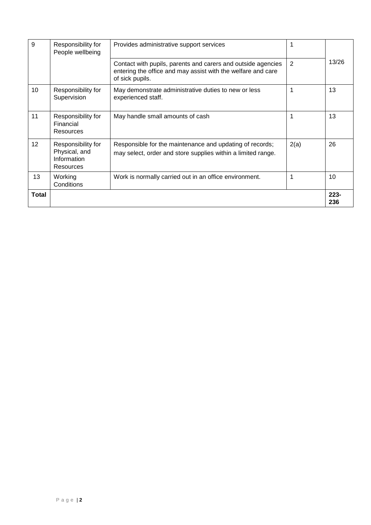| 9     | Responsibility for<br>People wellbeing                          | Provides administrative support services                                                                                                        |                |                |
|-------|-----------------------------------------------------------------|-------------------------------------------------------------------------------------------------------------------------------------------------|----------------|----------------|
|       |                                                                 | Contact with pupils, parents and carers and outside agencies<br>entering the office and may assist with the welfare and care<br>of sick pupils. | $\overline{2}$ | 13/26          |
| 10    | Responsibility for<br>Supervision                               | May demonstrate administrative duties to new or less<br>experienced staff.                                                                      |                | 13             |
| 11    | Responsibility for<br>Financial<br>Resources                    | May handle small amounts of cash                                                                                                                |                | 13             |
| 12    | Responsibility for<br>Physical, and<br>Information<br>Resources | Responsible for the maintenance and updating of records;<br>may select, order and store supplies within a limited range.                        | 2(a)           | 26             |
| 13    | Working<br>Conditions                                           | Work is normally carried out in an office environment.                                                                                          |                | 10             |
| Total |                                                                 |                                                                                                                                                 |                | $223 -$<br>236 |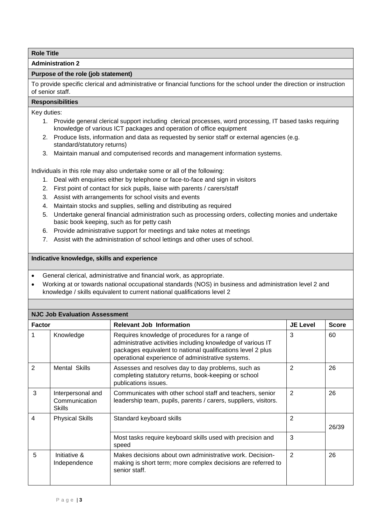**Administration 2**

## **Purpose of the role (job statement)**

To provide specific clerical and administrative or financial functions for the school under the direction or instruction of senior staff.

# **Responsibilities**

Key duties:

- 1. Provide general clerical support including clerical processes, word processing, IT based tasks requiring knowledge of various ICT packages and operation of office equipment
- 2. Produce lists, information and data as requested by senior staff or external agencies (e.g. standard/statutory returns)
- 3. Maintain manual and computerised records and management information systems.

Individuals in this role may also undertake some or all of the following:

- 1. Deal with enquiries either by telephone or face-to-face and sign in visitors
- 2. First point of contact for sick pupils, liaise with parents / carers/staff
- 3. Assist with arrangements for school visits and events
- 4. Maintain stocks and supplies, selling and distributing as required
- 5. Undertake general financial administration such as processing orders, collecting monies and undertake basic book keeping, such as for petty cash
- 6. Provide administrative support for meetings and take notes at meetings
- 7. Assist with the administration of school lettings and other uses of school.

- General clerical, administrative and financial work, as appropriate.
- Working at or towards national occupational standards (NOS) in business and administration level 2 and knowledge / skills equivalent to current national qualifications level 2

|                | <b>NJC Job Evaluation Assessment</b>                |                                                                                                                                                                                                                                    |                 |              |  |
|----------------|-----------------------------------------------------|------------------------------------------------------------------------------------------------------------------------------------------------------------------------------------------------------------------------------------|-----------------|--------------|--|
| <b>Factor</b>  |                                                     | <b>Relevant Job Information</b>                                                                                                                                                                                                    | <b>JE Level</b> | <b>Score</b> |  |
|                | Knowledge                                           | Requires knowledge of procedures for a range of<br>administrative activities including knowledge of various IT<br>packages equivalent to national qualifications level 2 plus<br>operational experience of administrative systems. | 3               | 60           |  |
| $\overline{2}$ | Mental Skills                                       | Assesses and resolves day to day problems, such as<br>completing statutory returns, book-keeping or school<br>publications issues.                                                                                                 | $\overline{2}$  | 26           |  |
| 3              | Interpersonal and<br>Communication<br><b>Skills</b> | Communicates with other school staff and teachers, senior<br>leadership team, pupils, parents / carers, suppliers, visitors.                                                                                                       | $\overline{2}$  | 26           |  |
| 4              | <b>Physical Skills</b>                              | Standard keyboard skills                                                                                                                                                                                                           | 2               | 26/39        |  |
|                |                                                     | Most tasks require keyboard skills used with precision and<br>speed                                                                                                                                                                | 3               |              |  |
| 5              | Initiative &<br>Independence                        | Makes decisions about own administrative work. Decision-<br>making is short term; more complex decisions are referred to<br>senior staff.                                                                                          | 2               | 26           |  |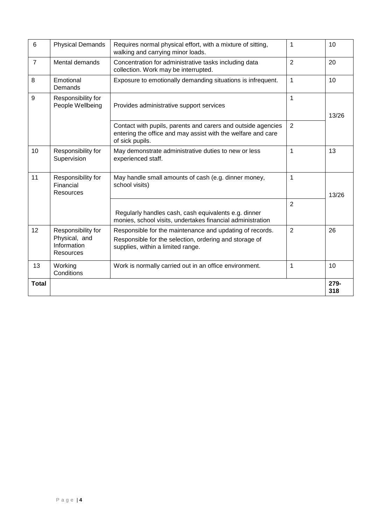| 6              | <b>Physical Demands</b>                                         | Requires normal physical effort, with a mixture of sitting,<br>walking and carrying minor loads.                                                        | 1              | 10          |
|----------------|-----------------------------------------------------------------|---------------------------------------------------------------------------------------------------------------------------------------------------------|----------------|-------------|
| $\overline{7}$ | Mental demands                                                  | Concentration for administrative tasks including data<br>collection. Work may be interrupted.                                                           | $\overline{2}$ | 20          |
| 8              | Emotional<br>Demands                                            | Exposure to emotionally demanding situations is infrequent.                                                                                             | $\overline{1}$ | 10          |
| 9              | Responsibility for<br>People Wellbeing                          | Provides administrative support services                                                                                                                | 1              | 13/26       |
|                |                                                                 | Contact with pupils, parents and carers and outside agencies<br>entering the office and may assist with the welfare and care<br>of sick pupils.         | 2              |             |
| 10             | Responsibility for<br>Supervision                               | May demonstrate administrative duties to new or less<br>experienced staff.                                                                              | 1              | 13          |
| 11             | Responsibility for<br>Financial<br>Resources                    | May handle small amounts of cash (e.g. dinner money,<br>school visits)                                                                                  | 1              | 13/26       |
|                |                                                                 | Regularly handles cash, cash equivalents e.g. dinner<br>monies, school visits, undertakes financial administration                                      | $\overline{2}$ |             |
| 12             | Responsibility for<br>Physical, and<br>Information<br>Resources | Responsible for the maintenance and updating of records.<br>Responsible for the selection, ordering and storage of<br>supplies, within a limited range. | $\overline{2}$ | 26          |
| 13             | Working<br>Conditions                                           | Work is normally carried out in an office environment.                                                                                                  | 1              | 10          |
| <b>Total</b>   |                                                                 |                                                                                                                                                         |                | 279-<br>318 |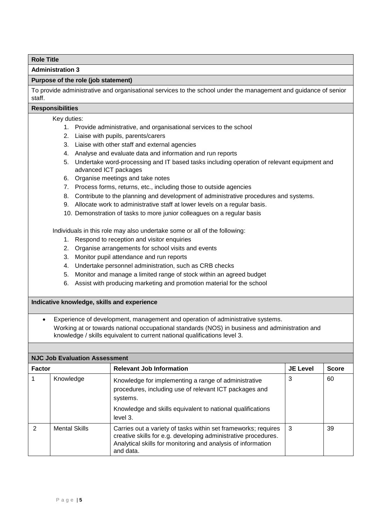**Administration 3**

## **Purpose of the role (job statement)**

To provide administrative and organisational services to the school under the management and guidance of senior staff.

#### **Responsibilities**

- Key duties:
	- 1. Provide administrative, and organisational services to the school
	- 2. Liaise with pupils, parents/carers
	- 3. Liaise with other staff and external agencies
	- 4. Analyse and evaluate data and information and run reports
	- 5. Undertake word-processing and IT based tasks including operation of relevant equipment and advanced ICT packages
	- 6. Organise meetings and take notes
	- 7. Process forms, returns, etc., including those to outside agencies
	- 8. Contribute to the planning and development of administrative procedures and systems.
	- 9. Allocate work to administrative staff at lower levels on a regular basis.
	- 10. Demonstration of tasks to more junior colleagues on a regular basis

Individuals in this role may also undertake some or all of the following:

- 1. Respond to reception and visitor enquiries
- 2. Organise arrangements for school visits and events
- 3. Monitor pupil attendance and run reports
- 4. Undertake personnel administration, such as CRB checks
- 5. Monitor and manage a limited range of stock within an agreed budget
- 6. Assist with producing marketing and promotion material for the school

## **Indicative knowledge, skills and experience**

 Experience of development, management and operation of administrative systems. Working at or towards national occupational standards (NOS) in business and administration and knowledge / skills equivalent to current national qualifications level 3.

|               | <b>NJC Job Evaluation Assessment</b> |                                                                                                                                                                                                               |                 |              |  |
|---------------|--------------------------------------|---------------------------------------------------------------------------------------------------------------------------------------------------------------------------------------------------------------|-----------------|--------------|--|
| <b>Factor</b> |                                      | <b>Relevant Job Information</b>                                                                                                                                                                               | <b>JE Level</b> | <b>Score</b> |  |
|               | Knowledge                            | Knowledge for implementing a range of administrative<br>procedures, including use of relevant ICT packages and<br>systems.<br>Knowledge and skills equivalent to national qualifications<br>level 3.          | 3               | 60           |  |
| $\mathcal{P}$ | <b>Mental Skills</b>                 | Carries out a variety of tasks within set frameworks; requires<br>creative skills for e.g. developing administrative procedures.<br>Analytical skills for monitoring and analysis of information<br>and data. | 3               | 39           |  |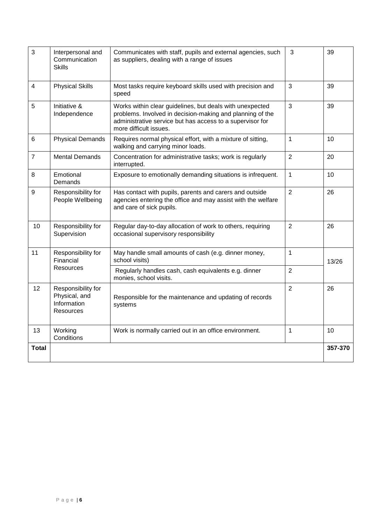| 3              | Interpersonal and<br>Communication<br><b>Skills</b>             | Communicates with staff, pupils and external agencies, such<br>as suppliers, dealing with a range of issues                                                                                                  | 3              | 39      |
|----------------|-----------------------------------------------------------------|--------------------------------------------------------------------------------------------------------------------------------------------------------------------------------------------------------------|----------------|---------|
| 4              | <b>Physical Skills</b>                                          | Most tasks require keyboard skills used with precision and<br>speed                                                                                                                                          | 3              | 39      |
| 5              | Initiative &<br>Independence                                    | Works within clear guidelines, but deals with unexpected<br>problems. Involved in decision-making and planning of the<br>administrative service but has access to a supervisor for<br>more difficult issues. | 3              | 39      |
| 6              | <b>Physical Demands</b>                                         | Requires normal physical effort, with a mixture of sitting,<br>walking and carrying minor loads.                                                                                                             | $\mathbf{1}$   | 10      |
| $\overline{7}$ | <b>Mental Demands</b>                                           | Concentration for administrative tasks; work is regularly<br>interrupted.                                                                                                                                    | $\overline{2}$ | 20      |
| 8              | Emotional<br>Demands                                            | Exposure to emotionally demanding situations is infrequent.                                                                                                                                                  | 1              | 10      |
| 9              | Responsibility for<br>People Wellbeing                          | Has contact with pupils, parents and carers and outside<br>agencies entering the office and may assist with the welfare<br>and care of sick pupils.                                                          | $\overline{2}$ | 26      |
| 10             | Responsibility for<br>Supervision                               | Regular day-to-day allocation of work to others, requiring<br>occasional supervisory responsibility                                                                                                          | $\overline{2}$ | 26      |
| 11             | Responsibility for<br>Financial                                 | May handle small amounts of cash (e.g. dinner money,<br>school visits)                                                                                                                                       | $\mathbf{1}$   | 13/26   |
|                | <b>Resources</b>                                                | Regularly handles cash, cash equivalents e.g. dinner<br>monies, school visits.                                                                                                                               | $\overline{2}$ |         |
| 12             | Responsibility for<br>Physical, and<br>Information<br>Resources | Responsible for the maintenance and updating of records<br>systems                                                                                                                                           | $\overline{2}$ | 26      |
| 13             | Working<br>Conditions                                           | Work is normally carried out in an office environment.                                                                                                                                                       | 1              | 10      |
| <b>Total</b>   |                                                                 |                                                                                                                                                                                                              |                | 357-370 |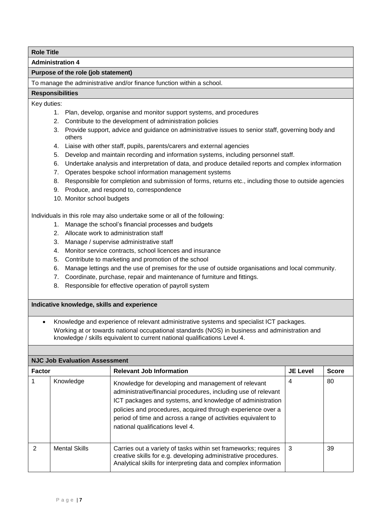**Administration 4**

#### **Purpose of the role (job statement)**

To manage the administrative and/or finance function within a school.

#### **Responsibilities**

Key duties:

- 1. Plan, develop, organise and monitor support systems, and procedures
- 2. Contribute to the development of administration policies
- 3. Provide support, advice and guidance on administrative issues to senior staff, governing body and others
- 4. Liaise with other staff, pupils, parents/carers and external agencies
- 5. Develop and maintain recording and information systems, including personnel staff.
- 6. Undertake analysis and interpretation of data, and produce detailed reports and complex information
- 7. Operates bespoke school information management systems
- 8. Responsible for completion and submission of forms, returns etc., including those to outside agencies
- 9. Produce, and respond to, correspondence
- 10. Monitor school budgets

Individuals in this role may also undertake some or all of the following:

- 1. Manage the school's financial processes and budgets
- 2. Allocate work to administration staff
- 3. Manage / supervise administrative staff
- 4. Monitor service contracts, school licences and insurance
- 5. Contribute to marketing and promotion of the school
- 6. Manage lettings and the use of premises for the use of outside organisations and local community.
- 7. Coordinate, purchase, repair and maintenance of furniture and fittings.
- 8. Responsible for effective operation of payroll system

#### **Indicative knowledge, skills and experience**

 Knowledge and experience of relevant administrative systems and specialist ICT packages. Working at or towards national occupational standards (NOS) in business and administration and knowledge / skills equivalent to current national qualifications Level 4.

|               | <b>NJC Job Evaluation Assessment</b> |                                                                                                                                                                                                                                                                                                                                                        |                 |              |  |
|---------------|--------------------------------------|--------------------------------------------------------------------------------------------------------------------------------------------------------------------------------------------------------------------------------------------------------------------------------------------------------------------------------------------------------|-----------------|--------------|--|
| <b>Factor</b> |                                      | <b>Relevant Job Information</b>                                                                                                                                                                                                                                                                                                                        | <b>JE Level</b> | <b>Score</b> |  |
|               | Knowledge                            | Knowledge for developing and management of relevant<br>administrative/financial procedures, including use of relevant<br>ICT packages and systems, and knowledge of administration<br>policies and procedures, acquired through experience over a<br>period of time and across a range of activities equivalent to<br>national qualifications level 4. | 4               | 80           |  |
| $\mathcal{P}$ | <b>Mental Skills</b>                 | Carries out a variety of tasks within set frameworks; requires<br>creative skills for e.g. developing administrative procedures.<br>Analytical skills for interpreting data and complex information                                                                                                                                                    | 3               | 39           |  |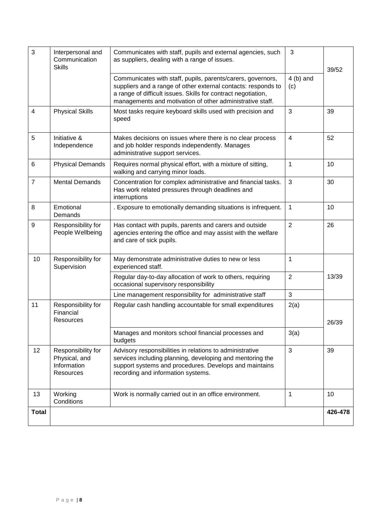| 3                       | Interpersonal and<br>Communication<br><b>Skills</b>             | Communicates with staff, pupils and external agencies, such<br>as suppliers, dealing with a range of issues.                                                                                                                                               | 3                 | 39/52   |
|-------------------------|-----------------------------------------------------------------|------------------------------------------------------------------------------------------------------------------------------------------------------------------------------------------------------------------------------------------------------------|-------------------|---------|
|                         |                                                                 | Communicates with staff, pupils, parents/carers, governors,<br>suppliers and a range of other external contacts: responds to<br>a range of difficult issues. Skills for contract negotiation,<br>managements and motivation of other administrative staff. | $4(b)$ and<br>(c) |         |
| $\overline{\mathbf{4}}$ | <b>Physical Skills</b>                                          | Most tasks require keyboard skills used with precision and<br>speed                                                                                                                                                                                        | 3                 | 39      |
| 5                       | Initiative &<br>Independence                                    | Makes decisions on issues where there is no clear process<br>and job holder responds independently. Manages<br>administrative support services.                                                                                                            | $\overline{4}$    | 52      |
| 6                       | <b>Physical Demands</b>                                         | Requires normal physical effort, with a mixture of sitting,<br>walking and carrying minor loads.                                                                                                                                                           | $\mathbf{1}$      | 10      |
| $\overline{7}$          | <b>Mental Demands</b>                                           | Concentration for complex administrative and financial tasks.<br>Has work related pressures through deadlines and<br>interruptions                                                                                                                         | 3                 | 30      |
| 8                       | Emotional<br>Demands                                            | . Exposure to emotionally demanding situations is infrequent.                                                                                                                                                                                              | 1                 | 10      |
| 9                       | Responsibility for<br>People Wellbeing                          | Has contact with pupils, parents and carers and outside<br>agencies entering the office and may assist with the welfare<br>and care of sick pupils.                                                                                                        | $\overline{2}$    | 26      |
| 10                      | Responsibility for<br>Supervision                               | May demonstrate administrative duties to new or less<br>experienced staff.                                                                                                                                                                                 | $\mathbf{1}$      |         |
|                         |                                                                 | Regular day-to-day allocation of work to others, requiring<br>occasional supervisory responsibility                                                                                                                                                        | $\overline{2}$    | 13/39   |
|                         |                                                                 | Line management responsibility for administrative staff                                                                                                                                                                                                    | 3                 |         |
| 11                      | Responsibility for<br>Financial<br>Resources                    | Regular cash handling accountable for small expenditures                                                                                                                                                                                                   | 2(a)              | 26/39   |
|                         |                                                                 | Manages and monitors school financial processes and<br>budgets                                                                                                                                                                                             | 3(a)              |         |
| 12                      | Responsibility for<br>Physical, and<br>Information<br>Resources | Advisory responsibilities in relations to administrative<br>services including planning, developing and mentoring the<br>support systems and procedures. Develops and maintains<br>recording and information systems.                                      | 3                 | 39      |
| 13                      | Working<br>Conditions                                           | Work is normally carried out in an office environment.                                                                                                                                                                                                     | 1                 | 10      |
| <b>Total</b>            |                                                                 |                                                                                                                                                                                                                                                            |                   | 426-478 |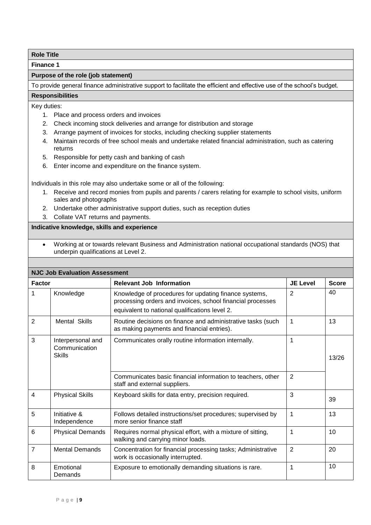**Finance 1**

## **Purpose of the role (job statement)**

To provide general finance administrative support to facilitate the efficient and effective use of the school's budget.

# **Responsibilities**

Key duties:

- 1. Place and process orders and invoices
- 2. Check incoming stock deliveries and arrange for distribution and storage
- 3. Arrange payment of invoices for stocks, including checking supplier statements
- 4. Maintain records of free school meals and undertake related financial administration, such as catering returns
- 5. Responsible for petty cash and banking of cash
- 6. Enter income and expenditure on the finance system.

Individuals in this role may also undertake some or all of the following:

- 1. Receive and record monies from pupils and parents / carers relating for example to school visits, uniform sales and photographs
- 2. Undertake other administrative support duties, such as reception duties
- 3. Collate VAT returns and payments.

## **Indicative knowledge, skills and experience**

 Working at or towards relevant Business and Administration national occupational standards (NOS) that underpin qualifications at Level 2.

|                | <b>NJC Job Evaluation Assessment</b>                |                                                                                                                                                                       |                 |              |
|----------------|-----------------------------------------------------|-----------------------------------------------------------------------------------------------------------------------------------------------------------------------|-----------------|--------------|
| <b>Factor</b>  |                                                     | <b>Relevant Job Information</b>                                                                                                                                       | <b>JE Level</b> | <b>Score</b> |
| 1              | Knowledge                                           | Knowledge of procedures for updating finance systems,<br>processing orders and invoices, school financial processes<br>equivalent to national qualifications level 2. | $\overline{2}$  | 40           |
| $\overline{2}$ | <b>Mental Skills</b>                                | Routine decisions on finance and administrative tasks (such<br>as making payments and financial entries).                                                             | 1               | 13           |
| 3              | Interpersonal and<br>Communication<br><b>Skills</b> | Communicates orally routine information internally.                                                                                                                   | 1               | 13/26        |
|                |                                                     | Communicates basic financial information to teachers, other<br>staff and external suppliers.                                                                          | $\overline{2}$  |              |
| 4              | <b>Physical Skills</b>                              | Keyboard skills for data entry, precision required.                                                                                                                   | 3               | 39           |
| 5              | Initiative &<br>Independence                        | Follows detailed instructions/set procedures; supervised by<br>more senior finance staff                                                                              | 1               | 13           |
| 6              | <b>Physical Demands</b>                             | Requires normal physical effort, with a mixture of sitting,<br>walking and carrying minor loads.                                                                      | 1               | 10           |
| $\overline{7}$ | <b>Mental Demands</b>                               | Concentration for financial processing tasks; Administrative<br>work is occasionally interrupted.                                                                     | $\overline{2}$  | 20           |
| 8              | Emotional<br>Demands                                | Exposure to emotionally demanding situations is rare.                                                                                                                 | 1               | 10           |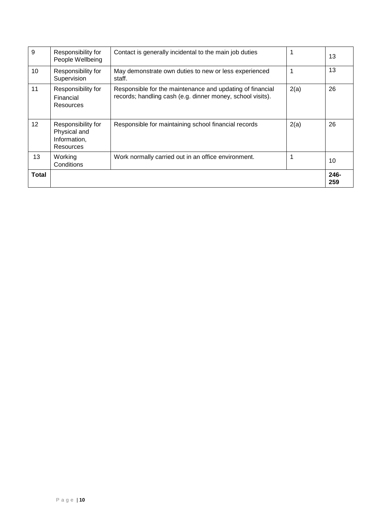| 9               | Responsibility for<br>People Wellbeing                          | Contact is generally incidental to the main job duties                                                                  |      | 13          |
|-----------------|-----------------------------------------------------------------|-------------------------------------------------------------------------------------------------------------------------|------|-------------|
| 10              | Responsibility for<br>Supervision                               | May demonstrate own duties to new or less experienced<br>staff.                                                         |      | 13          |
| 11              | Responsibility for<br>Financial<br>Resources                    | Responsible for the maintenance and updating of financial<br>records; handling cash (e.g. dinner money, school visits). | 2(a) | 26          |
| 12 <sup>2</sup> | Responsibility for<br>Physical and<br>Information,<br>Resources | Responsible for maintaining school financial records                                                                    | 2(a) | 26          |
| 13              | Working<br>Conditions                                           | Work normally carried out in an office environment.                                                                     |      | 10          |
| <b>Total</b>    |                                                                 |                                                                                                                         |      | 246-<br>259 |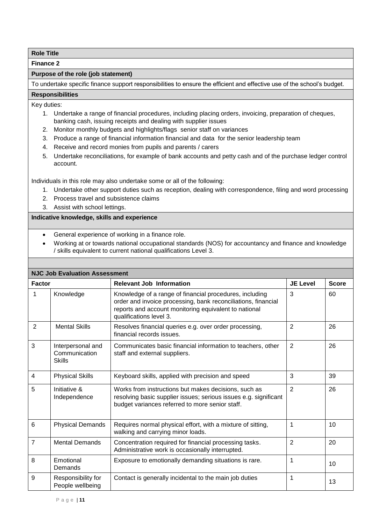**Finance 2**

## **Purpose of the role (job statement)**

To undertake specific finance support responsibilities to ensure the efficient and effective use of the school's budget.

#### **Responsibilities**

Key duties:

- 1. Undertake a range of financial procedures, including placing orders, invoicing, preparation of cheques, banking cash, issuing receipts and dealing with supplier issues
- 2. Monitor monthly budgets and highlights/flags senior staff on variances
- 3. Produce a range of financial information financial and data for the senior leadership team
- 4. Receive and record monies from pupils and parents / carers
- 5. Undertake reconciliations, for example of bank accounts and petty cash and of the purchase ledger control account.

Individuals in this role may also undertake some or all of the following:

- 1. Undertake other support duties such as reception, dealing with correspondence, filing and word processing
- 2. Process travel and subsistence claims
- 3. Assist with school lettings.

- General experience of working in a finance role.
- Working at or towards national occupational standards (NOS) for accountancy and finance and knowledge / skills equivalent to current national qualifications Level 3.

|               | <b>NJC Job Evaluation Assessment</b>                |                                                                                                                                                                                                              |                 |              |
|---------------|-----------------------------------------------------|--------------------------------------------------------------------------------------------------------------------------------------------------------------------------------------------------------------|-----------------|--------------|
| <b>Factor</b> |                                                     | <b>Relevant Job Information</b>                                                                                                                                                                              | <b>JE Level</b> | <b>Score</b> |
| 1             | Knowledge                                           | Knowledge of a range of financial procedures, including<br>order and invoice processing, bank reconciliations, financial<br>reports and account monitoring equivalent to national<br>qualifications level 3. | 3               | 60           |
| 2             | <b>Mental Skills</b>                                | Resolves financial queries e.g. over order processing,<br>financial records issues.                                                                                                                          | $\overline{2}$  | 26           |
| 3             | Interpersonal and<br>Communication<br><b>Skills</b> | Communicates basic financial information to teachers, other<br>staff and external suppliers.                                                                                                                 | $\overline{2}$  | 26           |
| 4             | <b>Physical Skills</b>                              | Keyboard skills, applied with precision and speed                                                                                                                                                            | 3               | 39           |
| 5             | Initiative &<br>Independence                        | Works from instructions but makes decisions, such as<br>resolving basic supplier issues; serious issues e.g. significant<br>budget variances referred to more senior staff.                                  | $\overline{2}$  | 26           |
| 6             | <b>Physical Demands</b>                             | Requires normal physical effort, with a mixture of sitting,<br>walking and carrying minor loads.                                                                                                             | 1               | 10           |
| 7             | <b>Mental Demands</b>                               | Concentration required for financial processing tasks.<br>Administrative work is occasionally interrupted.                                                                                                   | $\overline{2}$  | 20           |
| 8             | Emotional<br>Demands                                | Exposure to emotionally demanding situations is rare.                                                                                                                                                        | 1               | 10           |
| 9             | Responsibility for<br>People wellbeing              | Contact is generally incidental to the main job duties                                                                                                                                                       | 1               | 13           |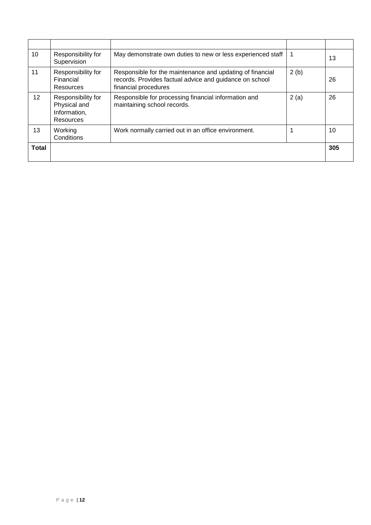| 10              | Responsibility for<br>Supervision                               | May demonstrate own duties to new or less experienced staff                                                                                  | 1    | 13  |
|-----------------|-----------------------------------------------------------------|----------------------------------------------------------------------------------------------------------------------------------------------|------|-----|
| 11              | Responsibility for<br>Financial<br>Resources                    | Responsible for the maintenance and updating of financial<br>records. Provides factual advice and guidance on school<br>financial procedures | 2(b) | 26  |
| 12 <sup>°</sup> | Responsibility for<br>Physical and<br>Information,<br>Resources | Responsible for processing financial information and<br>maintaining school records.                                                          | 2(a) | 26  |
| 13              | Working<br>Conditions                                           | Work normally carried out in an office environment.                                                                                          |      | 10  |
| <b>Total</b>    |                                                                 |                                                                                                                                              |      | 305 |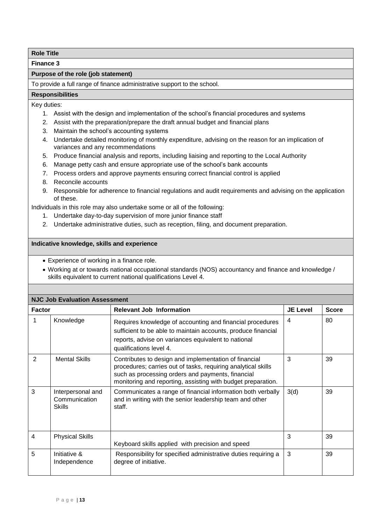**Finance 3**

## **Purpose of the role (job statement)**

To provide a full range of finance administrative support to the school.

#### **Responsibilities**

Key duties:

- 1. Assist with the design and implementation of the school's financial procedures and systems
- 2. Assist with the preparation/prepare the draft annual budget and financial plans
- 3. Maintain the school's accounting systems
- 4. Undertake detailed monitoring of monthly expenditure, advising on the reason for an implication of variances and any recommendations
- 5. Produce financial analysis and reports, including liaising and reporting to the Local Authority
- 6. Manage petty cash and ensure appropriate use of the school's bank accounts
- 7. Process orders and approve payments ensuring correct financial control is applied
- 8. Reconcile accounts
- 9. Responsible for adherence to financial regulations and audit requirements and advising on the application of these.

Individuals in this role may also undertake some or all of the following:

- 1. Undertake day-to-day supervision of more junior finance staff
- 2. Undertake administrative duties, such as reception, filing, and document preparation.

- Experience of working in a finance role.
- Working at or towards national occupational standards (NOS) accountancy and finance and knowledge / skills equivalent to current national qualifications Level 4.

| <b>NJC Job Evaluation Assessment</b> |                                                     |                                                                                                                                                                                                                                             |                 |              |  |
|--------------------------------------|-----------------------------------------------------|---------------------------------------------------------------------------------------------------------------------------------------------------------------------------------------------------------------------------------------------|-----------------|--------------|--|
| <b>Factor</b>                        |                                                     | <b>Relevant Job Information</b>                                                                                                                                                                                                             | <b>JE Level</b> | <b>Score</b> |  |
| 1                                    | Knowledge                                           | Requires knowledge of accounting and financial procedures<br>sufficient to be able to maintain accounts, produce financial<br>reports, advise on variances equivalent to national<br>qualifications level 4.                                | 4               | 80           |  |
| $\overline{2}$                       | <b>Mental Skills</b>                                | Contributes to design and implementation of financial<br>procedures; carries out of tasks, requiring analytical skills<br>such as processing orders and payments, financial<br>monitoring and reporting, assisting with budget preparation. | 3               | 39           |  |
| 3                                    | Interpersonal and<br>Communication<br><b>Skills</b> | Communicates a range of financial information both verbally<br>and in writing with the senior leadership team and other<br>staff.                                                                                                           | 3(d)            | 39           |  |
| 4                                    | <b>Physical Skills</b>                              | Keyboard skills applied with precision and speed                                                                                                                                                                                            | 3               | 39           |  |
| 5                                    | Initiative &<br>Independence                        | Responsibility for specified administrative duties requiring a<br>degree of initiative.                                                                                                                                                     | 3               | 39           |  |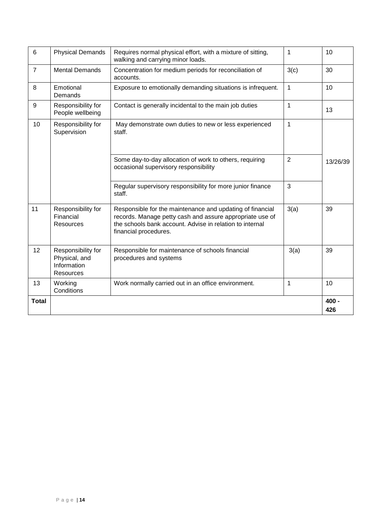| 6              | <b>Physical Demands</b>                                         | Requires normal physical effort, with a mixture of sitting,<br>walking and carrying minor loads.                                                                                                           | $\mathbf{1}$   | 10             |
|----------------|-----------------------------------------------------------------|------------------------------------------------------------------------------------------------------------------------------------------------------------------------------------------------------------|----------------|----------------|
| $\overline{7}$ | <b>Mental Demands</b>                                           | Concentration for medium periods for reconciliation of<br>accounts.                                                                                                                                        | 3(c)           | 30             |
| 8              | Emotional<br>Demands                                            | Exposure to emotionally demanding situations is infrequent.                                                                                                                                                | $\mathbf{1}$   | 10             |
| 9              | Responsibility for<br>People wellbeing                          | Contact is generally incidental to the main job duties                                                                                                                                                     | 1              | 13             |
| 10             | Responsibility for<br>Supervision                               | May demonstrate own duties to new or less experienced<br>staff.                                                                                                                                            | $\mathbf{1}$   |                |
|                |                                                                 | Some day-to-day allocation of work to others, requiring<br>occasional supervisory responsibility                                                                                                           | $\overline{2}$ | 13/26/39       |
|                |                                                                 | Regular supervisory responsibility for more junior finance<br>staff.                                                                                                                                       | 3              |                |
| 11             | Responsibility for<br>Financial<br><b>Resources</b>             | Responsible for the maintenance and updating of financial<br>records. Manage petty cash and assure appropriate use of<br>the schools bank account. Advise in relation to internal<br>financial procedures. | 3(a)           | 39             |
| 12             | Responsibility for<br>Physical, and<br>Information<br>Resources | Responsible for maintenance of schools financial<br>procedures and systems                                                                                                                                 | 3(a)           | 39             |
| 13             | Working<br>Conditions                                           | Work normally carried out in an office environment.                                                                                                                                                        | 1              | 10             |
| <b>Total</b>   |                                                                 |                                                                                                                                                                                                            |                | $400 -$<br>426 |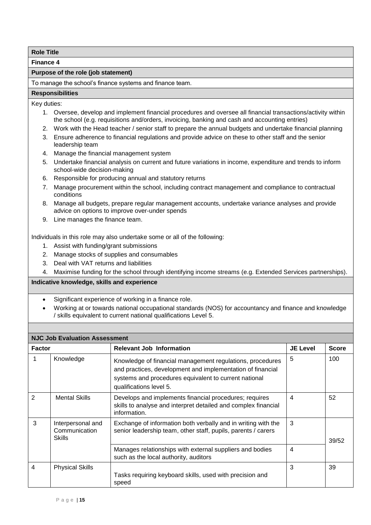**Finance 4**

# **Purpose of the role (job statement)**

To manage the school's finance systems and finance team.

## **Responsibilities**

Key duties:

- 1. Oversee, develop and implement financial procedures and oversee all financial transactions/activity within the school (e.g. requisitions and/orders, invoicing, banking and cash and accounting entries)
- 2. Work with the Head teacher / senior staff to prepare the annual budgets and undertake financial planning
- 3. Ensure adherence to financial regulations and provide advice on these to other staff and the senior leadership team
- 4. Manage the financial management system
- 5. Undertake financial analysis on current and future variations in income, expenditure and trends to inform school-wide decision-making
- 6. Responsible for producing annual and statutory returns
- 7. Manage procurement within the school, including contract management and compliance to contractual conditions
- 8. Manage all budgets, prepare regular management accounts, undertake variance analyses and provide advice on options to improve over-under spends
- 9. Line manages the finance team.

Individuals in this role may also undertake some or all of the following:

- 1. Assist with funding/grant submissions
- 2. Manage stocks of supplies and consumables
- 3. Deal with VAT returns and liabilities
- 4. Maximise funding for the school through identifying income streams (e.g. Extended Services partnerships).

- Significant experience of working in a finance role.
- Working at or towards national occupational standards (NOS) for accountancy and finance and knowledge / skills equivalent to current national qualifications Level 5.

| <b>NJC Job Evaluation Assessment</b> |                                                     |                                                                                                                                                                                                             |                 |              |  |
|--------------------------------------|-----------------------------------------------------|-------------------------------------------------------------------------------------------------------------------------------------------------------------------------------------------------------------|-----------------|--------------|--|
| <b>Factor</b>                        |                                                     | <b>Relevant Job Information</b>                                                                                                                                                                             | <b>JE Level</b> | <b>Score</b> |  |
|                                      | Knowledge                                           | Knowledge of financial management regulations, procedures<br>and practices, development and implementation of financial<br>systems and procedures equivalent to current national<br>qualifications level 5. | 5               | 100          |  |
| $\overline{2}$                       | <b>Mental Skills</b>                                | Develops and implements financial procedures; requires<br>skills to analyse and interpret detailed and complex financial<br>information.                                                                    | 4               | 52           |  |
| 3                                    | Interpersonal and<br>Communication<br><b>Skills</b> | Exchange of information both verbally and in writing with the<br>senior leadership team, other staff, pupils, parents / carers                                                                              | 3               | 39/52        |  |
|                                      |                                                     | Manages relationships with external suppliers and bodies<br>such as the local authority, auditors                                                                                                           | 4               |              |  |
| 4                                    | <b>Physical Skills</b>                              | Tasks requiring keyboard skills, used with precision and<br>speed                                                                                                                                           | 3               | 39           |  |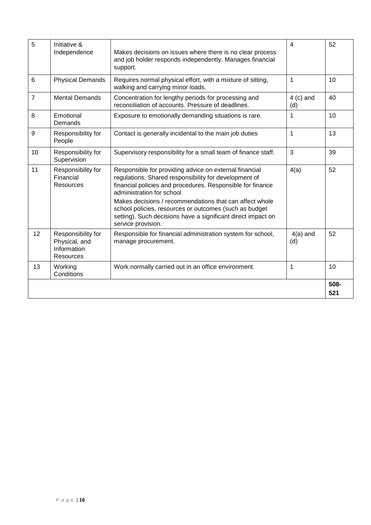| 5              | Initiative &<br>Independence                                           | Makes decisions on issues where there is no clear process<br>and job holder responds independently. Manages financial<br>support.                                                                          | $\overline{4}$     | 52          |
|----------------|------------------------------------------------------------------------|------------------------------------------------------------------------------------------------------------------------------------------------------------------------------------------------------------|--------------------|-------------|
| 6              | <b>Physical Demands</b>                                                | Requires normal physical effort, with a mixture of sitting,<br>walking and carrying minor loads.                                                                                                           | 1                  | 10          |
| $\overline{7}$ | <b>Mental Demands</b>                                                  | Concentration for lengthy periods for processing and<br>reconciliation of accounts. Pressure of deadlines.                                                                                                 | $4$ (c) and<br>(d) | 40          |
| 8              | Emotional<br>Demands                                                   | Exposure to emotionally demanding situations is rare.                                                                                                                                                      | $\mathbf{1}$       | 10          |
| 9              | Responsibility for<br>People                                           | Contact is generally incidental to the main job duties                                                                                                                                                     | $\mathbf{1}$       | 13          |
| 10             | Responsibility for<br>Supervision                                      | Supervisory responsibility for a small team of finance staff.                                                                                                                                              | 3                  | 39          |
| 11             | Responsibility for<br>Financial<br>Resources                           | Responsible for providing advice on external financial<br>regulations. Shared responsibility for development of<br>financial policies and procedures. Responsible for finance<br>administration for school | 4(a)               | 52          |
|                |                                                                        | Makes decisions / recommendations that can affect whole<br>school policies, resources or outcomes (such as budget<br>setting). Such decisions have a significant direct impact on<br>service provision.    |                    |             |
| 12             | Responsibility for<br>Physical, and<br>Information<br><b>Resources</b> | Responsible for financial administration system for school,<br>manage procurement.                                                                                                                         | $4(a)$ and<br>(d)  | 52          |
| 13             | Working<br>Conditions                                                  | Work normally carried out in an office environment.                                                                                                                                                        | 1                  | 10          |
|                |                                                                        |                                                                                                                                                                                                            |                    | 508-<br>521 |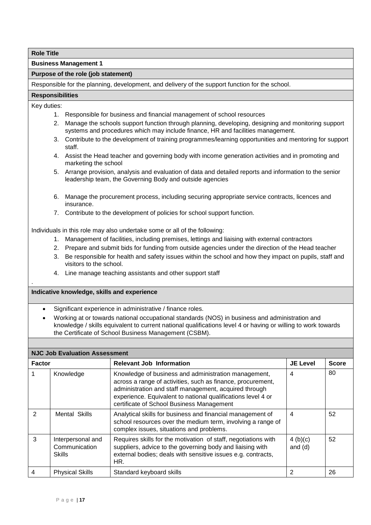**Business Management 1**

#### **Purpose of the role (job statement)**

Responsible for the planning, development, and delivery of the support function for the school.

# **Responsibilities**

Key duties:

.

- 1. Responsible for business and financial management of school resources
- 2. Manage the schools support function through planning, developing, designing and monitoring support systems and procedures which may include finance, HR and facilities management.
- 3. Contribute to the development of training programmes/learning opportunities and mentoring for support staff.
- 4. Assist the Head teacher and governing body with income generation activities and in promoting and marketing the school
- 5. Arrange provision, analysis and evaluation of data and detailed reports and information to the senior leadership team, the Governing Body and outside agencies
- 6. Manage the procurement process, including securing appropriate service contracts, licences and insurance.
- 7. Contribute to the development of policies for school support function.

Individuals in this role may also undertake some or all of the following:

- 1. Management of facilities, including premises, lettings and liaising with external contractors
- 2. Prepare and submit bids for funding from outside agencies under the direction of the Head teacher
- 3. Be responsible for health and safety issues within the school and how they impact on pupils, staff and visitors to the school.
- 4. Line manage teaching assistants and other support staff

- Significant experience in administrative / finance roles.
- Working at or towards national occupational standards (NOS) in business and administration and knowledge / skills equivalent to current national qualifications level 4 or having or willing to work towards the Certificate of School Business Management (CSBM).

| <b>NJC Job Evaluation Assessment</b> |                                                     |                                                                                                                                                                                                                                                                                           |                         |              |  |
|--------------------------------------|-----------------------------------------------------|-------------------------------------------------------------------------------------------------------------------------------------------------------------------------------------------------------------------------------------------------------------------------------------------|-------------------------|--------------|--|
| <b>Factor</b>                        |                                                     | <b>Relevant Job Information</b>                                                                                                                                                                                                                                                           | <b>JE Level</b>         | <b>Score</b> |  |
|                                      | Knowledge                                           | Knowledge of business and administration management,<br>across a range of activities, such as finance, procurement,<br>administration and staff management, acquired through<br>experience. Equivalent to national qualifications level 4 or<br>certificate of School Business Management | 4                       | 80           |  |
| $\mathcal{P}$                        | Mental Skills                                       | Analytical skills for business and financial management of<br>school resources over the medium term, involving a range of<br>complex issues, situations and problems.                                                                                                                     | $\overline{4}$          | 52           |  |
| 3                                    | Interpersonal and<br>Communication<br><b>Skills</b> | Requires skills for the motivation of staff, negotiations with<br>suppliers, advice to the governing body and liaising with<br>external bodies; deals with sensitive issues e.g. contracts,<br>HR.                                                                                        | 4 $(b)(c)$<br>and $(d)$ | 52           |  |
| 4                                    | <b>Physical Skills</b>                              | Standard keyboard skills                                                                                                                                                                                                                                                                  | 2                       | 26           |  |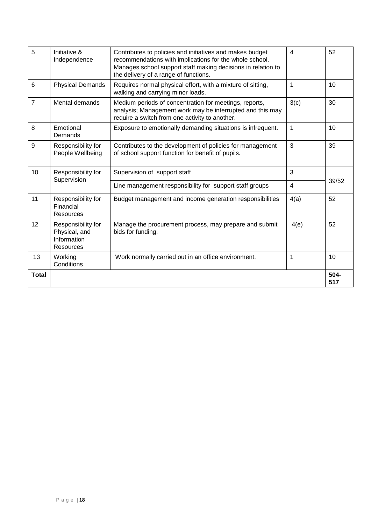| 5              | Initiative &<br>Independence                                           | Contributes to policies and initiatives and makes budget<br>recommendations with implications for the whole school.<br>Manages school support staff making decisions in relation to<br>the delivery of a range of functions. | 4              | 52          |
|----------------|------------------------------------------------------------------------|------------------------------------------------------------------------------------------------------------------------------------------------------------------------------------------------------------------------------|----------------|-------------|
| 6              | <b>Physical Demands</b>                                                | Requires normal physical effort, with a mixture of sitting,<br>walking and carrying minor loads.                                                                                                                             | 1              | 10          |
| $\overline{7}$ | Mental demands                                                         | Medium periods of concentration for meetings, reports,<br>analysis; Management work may be interrupted and this may<br>require a switch from one activity to another.                                                        | 3(c)           | 30          |
| 8              | Emotional<br>Demands                                                   | Exposure to emotionally demanding situations is infrequent.                                                                                                                                                                  | 1              | 10          |
| 9              | Responsibility for<br>People Wellbeing                                 | Contributes to the development of policies for management<br>of school support function for benefit of pupils.                                                                                                               | 3              | 39          |
| 10             | Responsibility for<br>Supervision                                      | Supervision of support staff                                                                                                                                                                                                 | 3              |             |
|                |                                                                        | Line management responsibility for support staff groups                                                                                                                                                                      | $\overline{4}$ | 39/52       |
| 11             | Responsibility for<br>Financial<br>Resources                           | Budget management and income generation responsibilities                                                                                                                                                                     | 4(a)           | 52          |
| 12             | Responsibility for<br>Physical, and<br>Information<br><b>Resources</b> | Manage the procurement process, may prepare and submit<br>bids for funding.                                                                                                                                                  | 4(e)           | 52          |
| 13             | Working<br>Conditions                                                  | Work normally carried out in an office environment.                                                                                                                                                                          | 1              | 10          |
| <b>Total</b>   |                                                                        |                                                                                                                                                                                                                              |                | 504-<br>517 |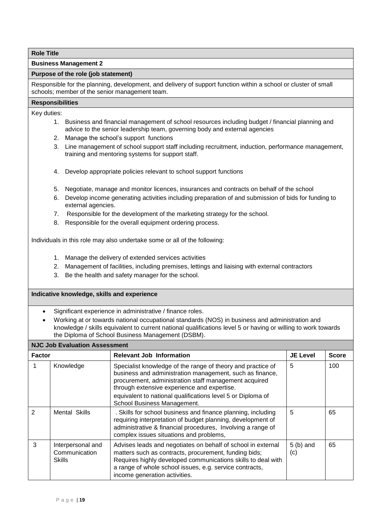**Business Management 2**

#### **Purpose of the role (job statement)**

Responsible for the planning, development, and delivery of support function within a school or cluster of small schools; member of the senior management team.

#### **Responsibilities**

Key duties:

- 1. Business and financial management of school resources including budget / financial planning and advice to the senior leadership team, governing body and external agencies
- 2. Manage the school's support functions
- 3. Line management of school support staff including recruitment, induction, performance management, training and mentoring systems for support staff.
- 4. Develop appropriate policies relevant to school support functions
- 5. Negotiate, manage and monitor licences, insurances and contracts on behalf of the school
- 6. Develop income generating activities including preparation of and submission of bids for funding to external agencies.
- 7. Responsible for the development of the marketing strategy for the school.
- 8. Responsible for the overall equipment ordering process.

Individuals in this role may also undertake some or all of the following:

- 1. Manage the delivery of extended services activities
- 2. Management of facilities, including premises, lettings and liaising with external contractors
- 3. Be the health and safety manager for the school.

- Significant experience in administrative / finance roles.
- Working at or towards national occupational standards (NOS) in business and administration and knowledge / skills equivalent to current national qualifications level 5 or having or willing to work towards the Diploma of School Business Management (DSBM).

| <b>NJC Job Evaluation Assessment</b> |                                                     |                                                                                                                                                                                                                                                                                   |                   |              |  |
|--------------------------------------|-----------------------------------------------------|-----------------------------------------------------------------------------------------------------------------------------------------------------------------------------------------------------------------------------------------------------------------------------------|-------------------|--------------|--|
| <b>Factor</b>                        |                                                     | <b>Relevant Job Information</b>                                                                                                                                                                                                                                                   | <b>JE Level</b>   | <b>Score</b> |  |
|                                      | Knowledge                                           | Specialist knowledge of the range of theory and practice of<br>business and administration management, such as finance,<br>procurement, administration staff management acquired<br>through extensive experience and expertise.                                                   | 5                 | 100          |  |
|                                      |                                                     | equivalent to national qualifications level 5 or Diploma of<br>School Business Management.                                                                                                                                                                                        |                   |              |  |
| $\overline{2}$                       | Mental Skills                                       | . Skills for school business and finance planning, including<br>requiring interpretation of budget planning, development of<br>administrative & financial procedures, Involving a range of<br>complex issues situations and problems,                                             | 5                 | 65           |  |
| 3                                    | Interpersonal and<br>Communication<br><b>Skills</b> | Advises leads and negotiates on behalf of school in external<br>matters such as contracts, procurement, funding bids;<br>Requires highly developed communications skills to deal with<br>a range of whole school issues, e.g. service contracts,<br>income generation activities. | $5(b)$ and<br>(c) | 65           |  |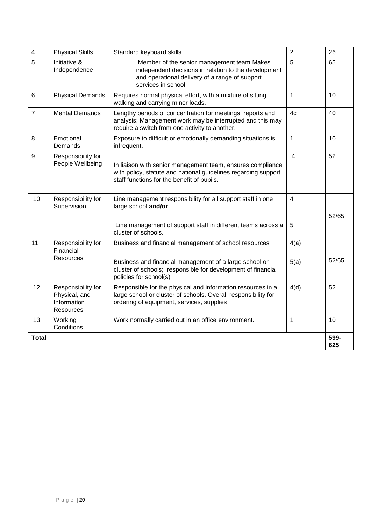| $\overline{4}$ | <b>Physical Skills</b>                                          | Standard keyboard skills                                                                                                                                                    | $\overline{2}$ | 26          |
|----------------|-----------------------------------------------------------------|-----------------------------------------------------------------------------------------------------------------------------------------------------------------------------|----------------|-------------|
| 5              | Initiative &<br>Independence                                    | Member of the senior management team Makes<br>independent decisions in relation to the development<br>and operational delivery of a range of support<br>services in school. | 5              | 65          |
| 6              | <b>Physical Demands</b>                                         | Requires normal physical effort, with a mixture of sitting,<br>walking and carrying minor loads.                                                                            | $\mathbf{1}$   | 10          |
| $\overline{7}$ | <b>Mental Demands</b>                                           | Lengthy periods of concentration for meetings, reports and<br>analysis; Management work may be interrupted and this may<br>require a switch from one activity to another.   | 4c             | 40          |
| 8              | Emotional<br>Demands                                            | Exposure to difficult or emotionally demanding situations is<br>infrequent.                                                                                                 | 1              | 10          |
| 9              | Responsibility for<br>People Wellbeing                          | In liaison with senior management team, ensures compliance<br>with policy, statute and national guidelines regarding support<br>staff functions for the benefit of pupils.  | $\overline{4}$ | 52          |
| 10             | Responsibility for<br>Supervision                               | Line management responsibility for all support staff in one<br>large school and/or                                                                                          | 4              | 52/65       |
|                |                                                                 | Line management of support staff in different teams across a<br>cluster of schools.                                                                                         | 5              |             |
| 11             | Responsibility for<br>Financial                                 | Business and financial management of school resources                                                                                                                       | 4(a)           |             |
|                | <b>Resources</b>                                                | Business and financial management of a large school or<br>cluster of schools; responsible for development of financial<br>policies for school(s)                            | 5(a)           | 52/65       |
| 12             | Responsibility for<br>Physical, and<br>Information<br>Resources | Responsible for the physical and information resources in a<br>large school or cluster of schools. Overall responsibility for<br>ordering of equipment, services, supplies  | 4(d)           | 52          |
| 13             | Working<br>Conditions                                           | Work normally carried out in an office environment.                                                                                                                         | 1              | 10          |
| Total          |                                                                 |                                                                                                                                                                             |                | 599-<br>625 |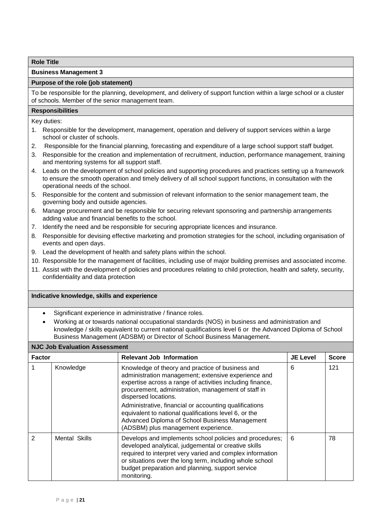**Business Management 3**

#### **Purpose of the role (job statement)**

To be responsible for the planning, development, and delivery of support function within a large school or a cluster of schools. Member of the senior management team.

#### **Responsibilities**

Key duties:

- 1. Responsible for the development, management, operation and delivery of support services within a large school or cluster of schools.
- 2. Responsible for the financial planning, forecasting and expenditure of a large school support staff budget.
- 3. Responsible for the creation and implementation of recruitment, induction, performance management, training and mentoring systems for all support staff.
- 4. Leads on the development of school policies and supporting procedures and practices setting up a framework to ensure the smooth operation and timely delivery of all school support functions, in consultation with the operational needs of the school.
- 5. Responsible for the content and submission of relevant information to the senior management team, the governing body and outside agencies.
- 6. Manage procurement and be responsible for securing relevant sponsoring and partnership arrangements adding value and financial benefits to the school.
- 7. Identify the need and be responsible for securing appropriate licences and insurance.
- 8. Responsible for devising effective marketing and promotion strategies for the school, including organisation of events and open days.
- 9. Lead the development of health and safety plans within the school.
- 10. Responsible for the management of facilities, including use of major building premises and associated income.
- 11. Assist with the development of policies and procedures relating to child protection, health and safety, security, confidentiality and data protection

- Significant experience in administrative / finance roles.
- Working at or towards national occupational standards (NOS) in business and administration and knowledge / skills equivalent to current national qualifications level 6 or the Advanced Diploma of School Business Management (ADSBM) or Director of School Business Management.

| <b>NJC Job Evaluation Assessment</b> |               |                                                                                                                                                                                                                                                                                                             |                 |              |
|--------------------------------------|---------------|-------------------------------------------------------------------------------------------------------------------------------------------------------------------------------------------------------------------------------------------------------------------------------------------------------------|-----------------|--------------|
| <b>Factor</b>                        |               | <b>Relevant Job Information</b>                                                                                                                                                                                                                                                                             | <b>JE Level</b> | <b>Score</b> |
|                                      | Knowledge     | Knowledge of theory and practice of business and<br>administration management; extensive experience and<br>expertise across a range of activities including finance,<br>procurement, administration, management of staff in<br>dispersed locations.                                                         | 6               | 121          |
|                                      |               | Administrative, financial or accounting qualifications<br>equivalent to national qualifications level 6, or the<br>Advanced Diploma of School Business Management<br>(ADSBM) plus management experience.                                                                                                    |                 |              |
| $\overline{2}$                       | Mental Skills | Develops and implements school policies and procedures;<br>developed analytical, judgemental or creative skills<br>required to interpret very varied and complex information<br>or situations over the long term, including whole school<br>budget preparation and planning, support service<br>monitoring. | 6               | 78           |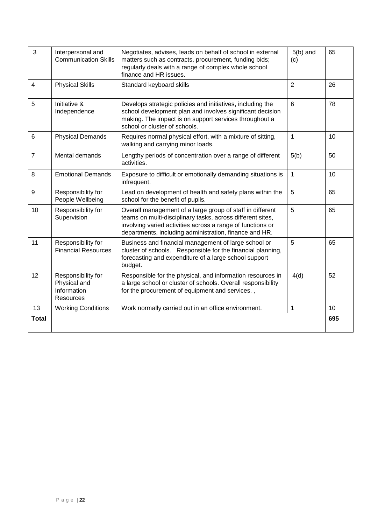| 3              | Interpersonal and<br>Negotiates, advises, leads on behalf of school in external<br><b>Communication Skills</b><br>matters such as contracts, procurement, funding bids;<br>(c)<br>regularly deals with a range of complex whole school<br>finance and HR issues. |                                                                                                                                                                                                                                                 | $5(b)$ and     | 65  |
|----------------|------------------------------------------------------------------------------------------------------------------------------------------------------------------------------------------------------------------------------------------------------------------|-------------------------------------------------------------------------------------------------------------------------------------------------------------------------------------------------------------------------------------------------|----------------|-----|
| $\overline{4}$ | <b>Physical Skills</b>                                                                                                                                                                                                                                           | Standard keyboard skills                                                                                                                                                                                                                        | $\overline{2}$ | 26  |
| 5              | Initiative &<br>Independence                                                                                                                                                                                                                                     | Develops strategic policies and initiatives, including the<br>6<br>school development plan and involves significant decision<br>making. The impact is on support services throughout a<br>school or cluster of schools.                         |                | 78  |
| 6              | <b>Physical Demands</b>                                                                                                                                                                                                                                          | Requires normal physical effort, with a mixture of sitting,<br>walking and carrying minor loads.                                                                                                                                                | 1              | 10  |
| $\overline{7}$ | Mental demands                                                                                                                                                                                                                                                   | Lengthy periods of concentration over a range of different<br>activities.                                                                                                                                                                       | 5(b)           | 50  |
| 8              | <b>Emotional Demands</b>                                                                                                                                                                                                                                         | Exposure to difficult or emotionally demanding situations is<br>infrequent.                                                                                                                                                                     | 1              | 10  |
| 9              | Responsibility for<br>People Wellbeing                                                                                                                                                                                                                           | Lead on development of health and safety plans within the<br>school for the benefit of pupils.                                                                                                                                                  | 5              | 65  |
| 10             | Responsibility for<br>Supervision                                                                                                                                                                                                                                | Overall management of a large group of staff in different<br>teams on multi-disciplinary tasks, across different sites,<br>involving varied activities across a range of functions or<br>departments, including administration, finance and HR. | 5              | 65  |
| 11             | Responsibility for<br><b>Financial Resources</b>                                                                                                                                                                                                                 | Business and financial management of large school or<br>cluster of schools. Responsible for the financial planning,<br>forecasting and expenditure of a large school support<br>budget.                                                         | 5              | 65  |
| 12             | Responsibility for<br>Physical and<br>Information<br><b>Resources</b>                                                                                                                                                                                            | Responsible for the physical, and information resources in<br>a large school or cluster of schools. Overall responsibility<br>for the procurement of equipment and services.,                                                                   | 4(d)           | 52  |
| 13             | <b>Working Conditions</b>                                                                                                                                                                                                                                        | Work normally carried out in an office environment.                                                                                                                                                                                             | 1              | 10  |
| <b>Total</b>   |                                                                                                                                                                                                                                                                  |                                                                                                                                                                                                                                                 |                | 695 |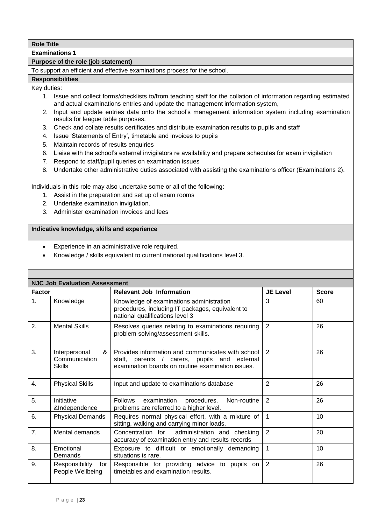**Examinations 1**

#### **Purpose of the role (job statement)**

To support an efficient and effective examinations process for the school.

#### **Responsibilities**

Key duties:

- 1. Issue and collect forms/checklists to/from teaching staff for the collation of information regarding estimated and actual examinations entries and update the management information system,
- 2. Input and update entries data onto the school's management information system including examination results for league table purposes.
- 3. Check and collate results certificates and distribute examination results to pupils and staff
- 4. Issue 'Statements of Entry', timetable and invoices to pupils
- 5. Maintain records of results enquiries
- 6. Liaise with the school's external invigilators re availability and prepare schedules for exam invigilation
- 7. Respond to staff/pupil queries on examination issues
- 8. Undertake other administrative duties associated with assisting the examinations officer (Examinations 2).

Individuals in this role may also undertake some or all of the following:

- 1. Assist in the preparation and set up of exam rooms
- 2. Undertake examination invigilation.
- 3. Administer examination invoices and fees

- Experience in an administrative role required.
- Knowledge / skills equivalent to current national qualifications level 3.

|               | <b>NJC Job Evaluation Assessment</b>                 |                                                                                                                                                        |                 |              |
|---------------|------------------------------------------------------|--------------------------------------------------------------------------------------------------------------------------------------------------------|-----------------|--------------|
| <b>Factor</b> |                                                      | <b>Relevant Job Information</b>                                                                                                                        | <b>JE Level</b> | <b>Score</b> |
| 1.            | Knowledge                                            | Knowledge of examinations administration<br>procedures, including IT packages, equivalent to<br>national qualifications level 3                        | 3               | 60           |
| 2.            | <b>Mental Skills</b>                                 | Resolves queries relating to examinations requiring<br>problem solving/assessment skills.                                                              | 2               | 26           |
| 3.            | Interpersonal<br>&<br>Communication<br><b>Skills</b> | Provides information and communicates with school<br>staff, parents / carers, pupils and external<br>examination boards on routine examination issues. | 2               | 26           |
| 4.            | <b>Physical Skills</b>                               | Input and update to examinations database                                                                                                              | 2               | 26           |
| 5.            | Initiative<br>&Independence                          | Follows examination procedures.<br>Non-routine<br>problems are referred to a higher level.                                                             | 2               | 26           |
| 6.            | <b>Physical Demands</b>                              | Requires normal physical effort, with a mixture of<br>sitting, walking and carrying minor loads.                                                       | $\overline{1}$  | 10           |
| 7.            | Mental demands                                       | Concentration for administration and checking<br>accuracy of examination entry and results records                                                     | $\overline{2}$  | 20           |
| 8.            | Emotional<br>Demands                                 | Exposure to difficult or emotionally demanding<br>situations is rare.                                                                                  | $\mathbf{1}$    | 10           |
| 9.            | Responsibility<br>for<br>People Wellbeing            | Responsible for providing advice to pupils on<br>timetables and examination results.                                                                   | $\overline{2}$  | 26           |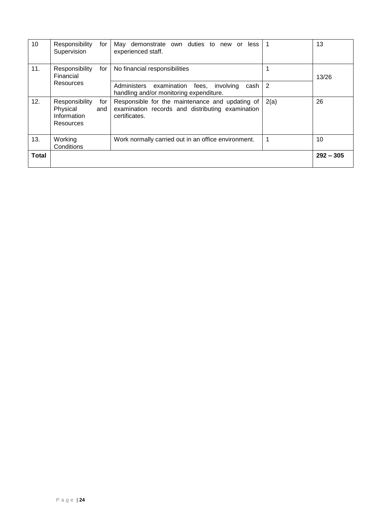| 10           | Responsibility<br>for<br>Supervision                                 | May demonstrate own duties to new or<br>less<br>experienced staff.                                                   |      | 13          |
|--------------|----------------------------------------------------------------------|----------------------------------------------------------------------------------------------------------------------|------|-------------|
| 11.          | Responsibility<br>for<br>Financial                                   | No financial responsibilities                                                                                        |      | 13/26       |
|              | Resources                                                            | Administers examination fees,<br>involving<br>cash<br>handling and/or monitoring expenditure.                        | 2    |             |
| 12.          | Responsibility<br>for<br>Physical<br>and<br>Information<br>Resources | Responsible for the maintenance and updating of<br>examination records and distributing examination<br>certificates. | 2(a) | 26          |
| 13.          | Working<br>Conditions                                                | Work normally carried out in an office environment.                                                                  |      | 10          |
| <b>Total</b> |                                                                      |                                                                                                                      |      | $292 - 305$ |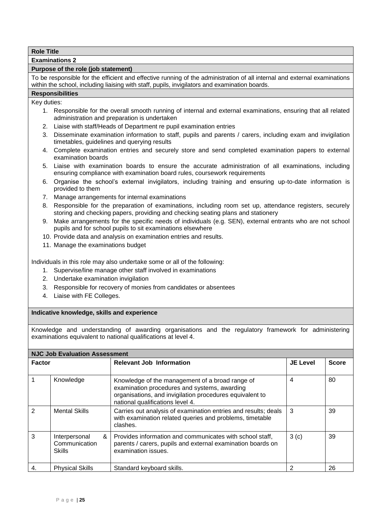**Examinations 2** 

#### **Purpose of the role (job statement)**

To be responsible for the efficient and effective running of the administration of all internal and external examinations within the school, including liaising with staff, pupils, invigilators and examination boards.

# **Responsibilities**

Key duties:

- 1. Responsible for the overall smooth running of internal and external examinations, ensuring that all related administration and preparation is undertaken
- 2. Liaise with staff/Heads of Department re pupil examination entries
- 3. Disseminate examination information to staff, pupils and parents / carers, including exam and invigilation timetables, guidelines and querying results
- 4. Complete examination entries and securely store and send completed examination papers to external examination boards
- 5. Liaise with examination boards to ensure the accurate administration of all examinations, including ensuring compliance with examination board rules, coursework requirements
- 6. Organise the school's external invigilators, including training and ensuring up-to-date information is provided to them
- 7. Manage arrangements for internal examinations
- 8. Responsible for the preparation of examinations, including room set up, attendance registers, securely storing and checking papers, providing and checking seating plans and stationery
- 9. Make arrangements for the specific needs of individuals (e.g. SEN), external entrants who are not school pupils and for school pupils to sit examinations elsewhere
- 10. Provide data and analysis on examination entries and results.
- 11. Manage the examinations budget

Individuals in this role may also undertake some or all of the following:

- 1. Supervise/line manage other staff involved in examinations
- 2. Undertake examination invigilation
- 3. Responsible for recovery of monies from candidates or absentees
- 4. Liaise with FE Colleges.

#### **Indicative knowledge, skills and experience**

Knowledge and understanding of awarding organisations and the regulatory framework for administering examinations equivalent to national qualifications at level 4.

| <b>NJC Job Evaluation Assessment</b> |                                                      |                                                                                                                                                                                                 |                 |              |  |
|--------------------------------------|------------------------------------------------------|-------------------------------------------------------------------------------------------------------------------------------------------------------------------------------------------------|-----------------|--------------|--|
| <b>Factor</b>                        |                                                      | <b>Relevant Job Information</b>                                                                                                                                                                 | <b>JE Level</b> | <b>Score</b> |  |
|                                      | Knowledge                                            | Knowledge of the management of a broad range of<br>examination procedures and systems, awarding<br>organisations, and invigilation procedures equivalent to<br>national qualifications level 4. | 4               | 80           |  |
| $\mathcal{P}$                        | <b>Mental Skills</b>                                 | Carries out analysis of examination entries and results; deals<br>with examination related queries and problems, timetable<br>clashes.                                                          | 3               | 39           |  |
| 3                                    | &<br>Interpersonal<br>Communication<br><b>Skills</b> | Provides information and communicates with school staff,<br>parents / carers, pupils and external examination boards on<br>examination issues.                                                  | 3(c)            | 39           |  |
| 4.                                   | <b>Physical Skills</b>                               | Standard keyboard skills.                                                                                                                                                                       | 2               | 26           |  |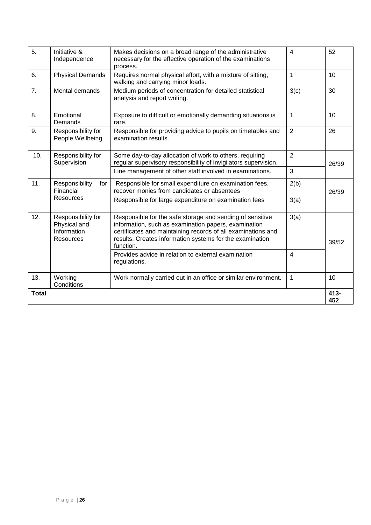| 5.           | Initiative &<br>Independence                                          | Makes decisions on a broad range of the administrative<br>necessary for the effective operation of the examinations<br>process.                                                                                                                            | 4              | 52          |
|--------------|-----------------------------------------------------------------------|------------------------------------------------------------------------------------------------------------------------------------------------------------------------------------------------------------------------------------------------------------|----------------|-------------|
| 6.           | <b>Physical Demands</b>                                               | Requires normal physical effort, with a mixture of sitting,<br>walking and carrying minor loads.                                                                                                                                                           | 1              | 10          |
| 7.           | Mental demands                                                        | Medium periods of concentration for detailed statistical<br>analysis and report writing.                                                                                                                                                                   | 3(c)           | 30          |
| 8.           | Emotional<br>Demands                                                  | Exposure to difficult or emotionally demanding situations is<br>rare.                                                                                                                                                                                      | 1              | 10          |
| 9.           | Responsibility for<br>People Wellbeing                                | Responsible for providing advice to pupils on timetables and<br>examination results.                                                                                                                                                                       | $\overline{2}$ | 26          |
| 10.          | Responsibility for<br>Supervision                                     | Some day-to-day allocation of work to others, requiring<br>regular supervisory responsibility of invigilators supervision.                                                                                                                                 | $\overline{2}$ | 26/39       |
|              |                                                                       | Line management of other staff involved in examinations.                                                                                                                                                                                                   | 3              |             |
| 11.          | Responsibility<br>for<br>Financial                                    | Responsible for small expenditure on examination fees,<br>recover monies from candidates or absentees                                                                                                                                                      | 2(b)           | 26/39       |
|              | Resources                                                             | Responsible for large expenditure on examination fees                                                                                                                                                                                                      | 3(a)           |             |
| 12.          | Responsibility for<br>Physical and<br>Information<br><b>Resources</b> | Responsible for the safe storage and sending of sensitive<br>information, such as examination papers, examination<br>certificates and maintaining records of all examinations and<br>results. Creates information systems for the examination<br>function. | 3(a)           | 39/52       |
|              |                                                                       | Provides advice in relation to external examination<br>regulations.                                                                                                                                                                                        | 4              |             |
| 13.          | Working<br>Conditions                                                 | Work normally carried out in an office or similar environment.                                                                                                                                                                                             | 1              | 10          |
| <b>Total</b> |                                                                       |                                                                                                                                                                                                                                                            |                | 413-<br>452 |